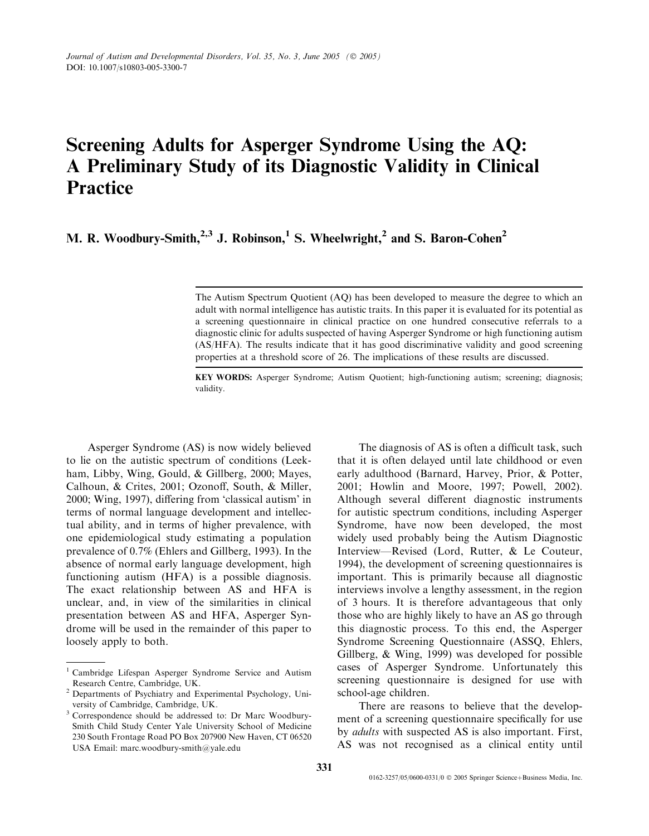# Screening Adults for Asperger Syndrome Using the AQ: A Preliminary Study of its Diagnostic Validity in Clinical Practice

M. R. Woodbury-Smith,<sup>2,3</sup> J. Robinson,<sup>1</sup> S. Wheelwright,<sup>2</sup> and S. Baron-Cohen<sup>2</sup>

The Autism Spectrum Quotient (AQ) has been developed to measure the degree to which an adult with normal intelligence has autistic traits. In this paper it is evaluated for its potential as a screening questionnaire in clinical practice on one hundred consecutive referrals to a diagnostic clinic for adults suspected of having Asperger Syndrome or high functioning autism (AS/HFA). The results indicate that it has good discriminative validity and good screening properties at a threshold score of 26. The implications of these results are discussed.

KEY WORDS: Asperger Syndrome; Autism Quotient; high-functioning autism; screening; diagnosis; validity.

Asperger Syndrome (AS) is now widely believed to lie on the autistic spectrum of conditions (Leekham, Libby, Wing, Gould, & Gillberg, 2000; Mayes, Calhoun, & Crites, 2001; Ozonoff, South, & Miller, 2000; Wing, 1997), differing from 'classical autism' in terms of normal language development and intellectual ability, and in terms of higher prevalence, with one epidemiological study estimating a population prevalence of 0.7% (Ehlers and Gillberg, 1993). In the absence of normal early language development, high functioning autism (HFA) is a possible diagnosis. The exact relationship between AS and HFA is unclear, and, in view of the similarities in clinical presentation between AS and HFA, Asperger Syndrome will be used in the remainder of this paper to loosely apply to both.

The diagnosis of AS is often a difficult task, such that it is often delayed until late childhood or even early adulthood (Barnard, Harvey, Prior, & Potter, 2001; Howlin and Moore, 1997; Powell, 2002). Although several different diagnostic instruments for autistic spectrum conditions, including Asperger Syndrome, have now been developed, the most widely used probably being the Autism Diagnostic Interview—Revised (Lord, Rutter, & Le Couteur, 1994), the development of screening questionnaires is important. This is primarily because all diagnostic interviews involve a lengthy assessment, in the region of 3 hours. It is therefore advantageous that only those who are highly likely to have an AS go through this diagnostic process. To this end, the Asperger Syndrome Screening Questionnaire (ASSQ, Ehlers, Gillberg, & Wing, 1999) was developed for possible cases of Asperger Syndrome. Unfortunately this screening questionnaire is designed for use with school-age children.

There are reasons to believe that the development of a screening questionnaire specifically for use by adults with suspected AS is also important. First, AS was not recognised as a clinical entity until

<sup>&</sup>lt;sup>1</sup> Cambridge Lifespan Asperger Syndrome Service and Autism Research Centre, Cambridge, UK.

<sup>2</sup> Departments of Psychiatry and Experimental Psychology, University of Cambridge, Cambridge, UK.

<sup>3</sup> Correspondence should be addressed to: Dr Marc Woodbury-Smith Child Study Center Yale University School of Medicine 230 South Frontage Road PO Box 207900 New Haven, CT 06520 USA Email: marc.woodbury-smith@yale.edu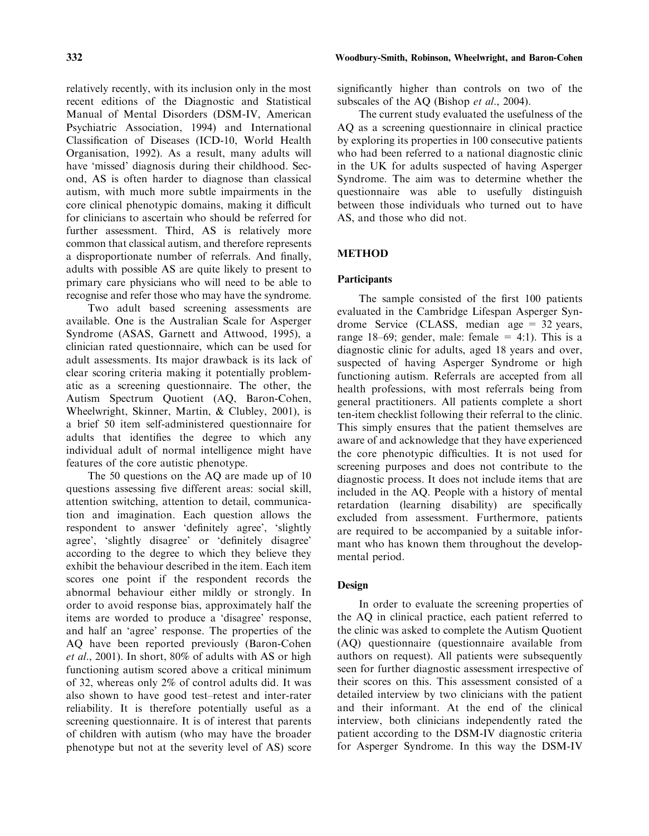relatively recently, with its inclusion only in the most recent editions of the Diagnostic and Statistical Manual of Mental Disorders (DSM-IV, American Psychiatric Association, 1994) and International Classification of Diseases (ICD-10, World Health Organisation, 1992). As a result, many adults will have 'missed' diagnosis during their childhood. Second, AS is often harder to diagnose than classical autism, with much more subtle impairments in the core clinical phenotypic domains, making it difficult for clinicians to ascertain who should be referred for further assessment. Third, AS is relatively more common that classical autism, and therefore represents a disproportionate number of referrals. And finally, adults with possible AS are quite likely to present to primary care physicians who will need to be able to recognise and refer those who may have the syndrome.

Two adult based screening assessments are available. One is the Australian Scale for Asperger Syndrome (ASAS, Garnett and Attwood, 1995), a clinician rated questionnaire, which can be used for adult assessments. Its major drawback is its lack of clear scoring criteria making it potentially problematic as a screening questionnaire. The other, the Autism Spectrum Quotient (AQ, Baron-Cohen, Wheelwright, Skinner, Martin, & Clubley, 2001), is a brief 50 item self-administered questionnaire for adults that identifies the degree to which any individual adult of normal intelligence might have features of the core autistic phenotype.

The 50 questions on the AQ are made up of 10 questions assessing five different areas: social skill, attention switching, attention to detail, communication and imagination. Each question allows the respondent to answer 'definitely agree', 'slightly agree', 'slightly disagree' or 'definitely disagree' according to the degree to which they believe they exhibit the behaviour described in the item. Each item scores one point if the respondent records the abnormal behaviour either mildly or strongly. In order to avoid response bias, approximately half the items are worded to produce a 'disagree' response, and half an 'agree' response. The properties of the AQ have been reported previously (Baron-Cohen et al., 2001). In short, 80% of adults with AS or high functioning autism scored above a critical minimum of 32, whereas only 2% of control adults did. It was also shown to have good test–retest and inter-rater reliability. It is therefore potentially useful as a screening questionnaire. It is of interest that parents of children with autism (who may have the broader phenotype but not at the severity level of AS) score significantly higher than controls on two of the subscales of the AQ (Bishop *et al.*, 2004).

The current study evaluated the usefulness of the AQ as a screening questionnaire in clinical practice by exploring its properties in 100 consecutive patients who had been referred to a national diagnostic clinic in the UK for adults suspected of having Asperger Syndrome. The aim was to determine whether the questionnaire was able to usefully distinguish between those individuals who turned out to have AS, and those who did not.

# METHOD

## **Participants**

The sample consisted of the first 100 patients evaluated in the Cambridge Lifespan Asperger Syndrome Service (CLASS, median age = 32 years, range 18–69; gender, male: female  $= 4:1$ ). This is a diagnostic clinic for adults, aged 18 years and over, suspected of having Asperger Syndrome or high functioning autism. Referrals are accepted from all health professions, with most referrals being from general practitioners. All patients complete a short ten-item checklist following their referral to the clinic. This simply ensures that the patient themselves are aware of and acknowledge that they have experienced the core phenotypic difficulties. It is not used for screening purposes and does not contribute to the diagnostic process. It does not include items that are included in the AQ. People with a history of mental retardation (learning disability) are specifically excluded from assessment. Furthermore, patients are required to be accompanied by a suitable informant who has known them throughout the developmental period.

# Design

In order to evaluate the screening properties of the AQ in clinical practice, each patient referred to the clinic was asked to complete the Autism Quotient (AQ) questionnaire (questionnaire available from authors on request). All patients were subsequently seen for further diagnostic assessment irrespective of their scores on this. This assessment consisted of a detailed interview by two clinicians with the patient and their informant. At the end of the clinical interview, both clinicians independently rated the patient according to the DSM-IV diagnostic criteria for Asperger Syndrome. In this way the DSM-IV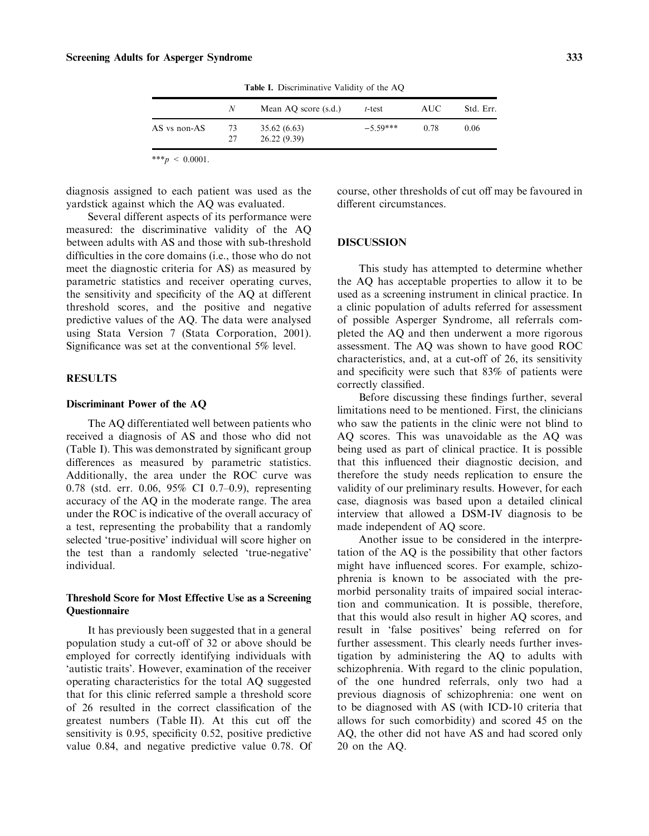|              |    |             |            | <b>AUC</b> | Std. Err. |
|--------------|----|-------------|------------|------------|-----------|
| AS vs non-AS | 73 | 35.62(6.63) | $-5.59***$ | 0.78       | 0.06      |
|              | 27 | 26.22(9.39) |            |            |           |

\*\*\* $p \, < \, 0.0001$ .

diagnosis assigned to each patient was used as the yardstick against which the AQ was evaluated.

Several different aspects of its performance were measured: the discriminative validity of the AQ between adults with AS and those with sub-threshold difficulties in the core domains (i.e., those who do not meet the diagnostic criteria for AS) as measured by parametric statistics and receiver operating curves, the sensitivity and specificity of the AQ at different threshold scores, and the positive and negative predictive values of the AQ. The data were analysed using Stata Version 7 (Stata Corporation, 2001). Significance was set at the conventional 5% level.

## RESULTS

## Discriminant Power of the AQ

The AQ differentiated well between patients who received a diagnosis of AS and those who did not (Table I). This was demonstrated by significant group differences as measured by parametric statistics. Additionally, the area under the ROC curve was 0.78 (std. err. 0.06, 95% CI 0.7–0.9), representing accuracy of the AQ in the moderate range. The area under the ROC is indicative of the overall accuracy of a test, representing the probability that a randomly selected 'true-positive' individual will score higher on the test than a randomly selected 'true-negative' individual.

# Threshold Score for Most Effective Use as a Screening **Ouestionnaire**

It has previously been suggested that in a general population study a cut-off of 32 or above should be employed for correctly identifying individuals with 'autistic traits'. However, examination of the receiver operating characteristics for the total AQ suggested that for this clinic referred sample a threshold score of 26 resulted in the correct classification of the greatest numbers (Table II). At this cut off the sensitivity is 0.95, specificity 0.52, positive predictive value 0.84, and negative predictive value 0.78. Of course, other thresholds of cut off may be favoured in different circumstances.

### DISCUSSION

This study has attempted to determine whether the AQ has acceptable properties to allow it to be used as a screening instrument in clinical practice. In a clinic population of adults referred for assessment of possible Asperger Syndrome, all referrals completed the AQ and then underwent a more rigorous assessment. The AQ was shown to have good ROC characteristics, and, at a cut-off of 26, its sensitivity and specificity were such that 83% of patients were correctly classified.

Before discussing these findings further, several limitations need to be mentioned. First, the clinicians who saw the patients in the clinic were not blind to AQ scores. This was unavoidable as the AQ was being used as part of clinical practice. It is possible that this influenced their diagnostic decision, and therefore the study needs replication to ensure the validity of our preliminary results. However, for each case, diagnosis was based upon a detailed clinical interview that allowed a DSM-IV diagnosis to be made independent of AQ score.

Another issue to be considered in the interpretation of the AQ is the possibility that other factors might have influenced scores. For example, schizophrenia is known to be associated with the premorbid personality traits of impaired social interaction and communication. It is possible, therefore, that this would also result in higher AQ scores, and result in 'false positives' being referred on for further assessment. This clearly needs further investigation by administering the AQ to adults with schizophrenia. With regard to the clinic population, of the one hundred referrals, only two had a previous diagnosis of schizophrenia: one went on to be diagnosed with AS (with ICD-10 criteria that allows for such comorbidity) and scored 45 on the AQ, the other did not have AS and had scored only 20 on the AQ.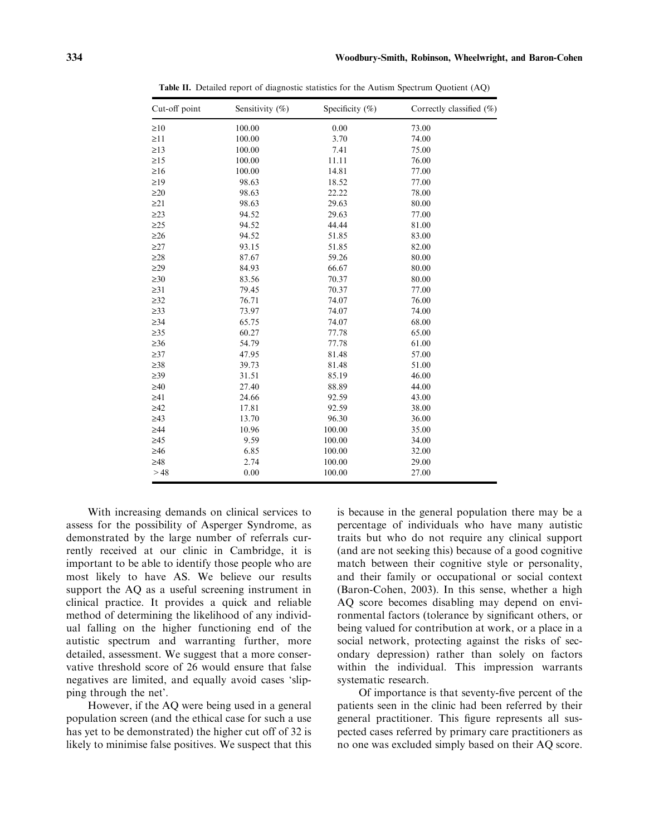| Cut-off point | Sensitivity (%) | Specificity (%) | Correctly classified (%) |
|---------------|-----------------|-----------------|--------------------------|
| $\geq 10$     | 100.00          | 0.00            | 73.00                    |
| $\geq$ 11     | 100.00          | 3.70            | 74.00                    |
| $\geq$ 13     | 100.00          | 7.41            | 75.00                    |
| $\geq$ 15     | 100.00          | 11.11           | 76.00                    |
| $\geq$ 16     | 100.00          | 14.81           | 77.00                    |
| $\geq$ 19     | 98.63           | 18.52           | 77.00                    |
| $\geq$ 20     | 98.63           | 22.22           | 78.00                    |
| $\geq$ 21     | 98.63           | 29.63           | 80.00                    |
| $\geq$ 23     | 94.52           | 29.63           | 77.00                    |
| $\geq$ 25     | 94.52           | 44.44           | 81.00                    |
| $\geq$ 26     | 94.52           | 51.85           | 83.00                    |
| $\geq$ 27     | 93.15           | 51.85           | 82.00                    |
| $\geq$ 28     | 87.67           | 59.26           | 80.00                    |
| $\geq$ 29     | 84.93           | 66.67           | 80.00                    |
| $\geq 30$     | 83.56           | 70.37           | 80.00                    |
| $\geq$ 31     | 79.45           | 70.37           | 77.00                    |
| $\geq$ 32     | 76.71           | 74.07           | 76.00                    |
| $\geq$ 33     | 73.97           | 74.07           | 74.00                    |
| $\geq$ 34     | 65.75           | 74.07           | 68.00                    |
| $\geq$ 35     | 60.27           | 77.78           | 65.00                    |
| $\geq 36$     | 54.79           | 77.78           | 61.00                    |
| $\geq$ 37     | 47.95           | 81.48           | 57.00                    |
| $\geq$ 38     | 39.73           | 81.48           | 51.00                    |
| $\geq$ 39     | 31.51           | 85.19           | 46.00                    |
| $\geq 40$     | 27.40           | 88.89           | 44.00                    |
| $\geq 41$     | 24.66           | 92.59           | 43.00                    |
| $\geq 42$     | 17.81           | 92.59           | 38.00                    |
| $\geq 43$     | 13.70           | 96.30           | 36.00                    |
| $\geq 44$     | 10.96           | 100.00          | 35.00                    |
| $\geq 45$     | 9.59            | 100.00          | 34.00                    |
| $\geq 46$     | 6.85            | 100.00          | 32.00                    |
| $\geq 48$     | 2.74            | 100.00          | 29.00                    |
| >48           | 0.00            | 100.00          | 27.00                    |

Table II. Detailed report of diagnostic statistics for the Autism Spectrum Quotient (AQ)

With increasing demands on clinical services to assess for the possibility of Asperger Syndrome, as demonstrated by the large number of referrals currently received at our clinic in Cambridge, it is important to be able to identify those people who are most likely to have AS. We believe our results support the AQ as a useful screening instrument in clinical practice. It provides a quick and reliable method of determining the likelihood of any individual falling on the higher functioning end of the autistic spectrum and warranting further, more detailed, assessment. We suggest that a more conservative threshold score of 26 would ensure that false negatives are limited, and equally avoid cases 'slipping through the net'.

However, if the AQ were being used in a general population screen (and the ethical case for such a use has yet to be demonstrated) the higher cut off of 32 is likely to minimise false positives. We suspect that this is because in the general population there may be a percentage of individuals who have many autistic traits but who do not require any clinical support (and are not seeking this) because of a good cognitive match between their cognitive style or personality, and their family or occupational or social context (Baron-Cohen, 2003). In this sense, whether a high AQ score becomes disabling may depend on environmental factors (tolerance by significant others, or being valued for contribution at work, or a place in a social network, protecting against the risks of secondary depression) rather than solely on factors within the individual. This impression warrants systematic research.

Of importance is that seventy-five percent of the patients seen in the clinic had been referred by their general practitioner. This figure represents all suspected cases referred by primary care practitioners as no one was excluded simply based on their AQ score.